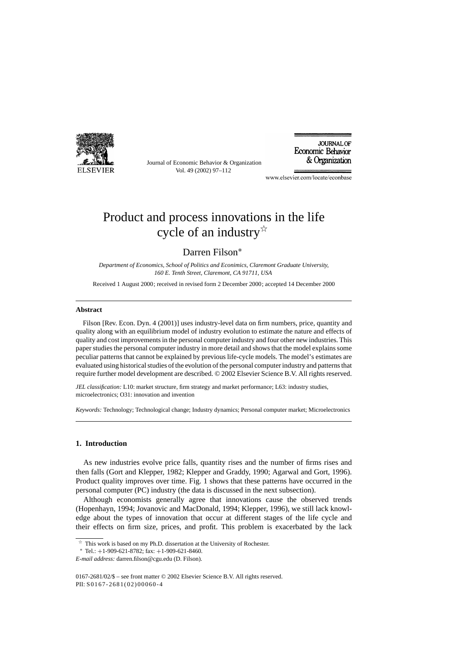

Journal of Economic Behavior & Organization Vol. 49 (2002) 97–112

**JOURNAL OF** Economic Behavior & Organization

www.elsevier.com/locate/econbase

## Product and process innovations in the life cycle of an industry  $\mathbb{R}^2$

### Darren Filson<sup>∗</sup>

*Department of Economics, School of Politics and Econimics, Claremont Graduate University, 160 E. Tenth Street, Claremont, CA 91711, USA*

Received 1 August 2000; received in revised form 2 December 2000; accepted 14 December 2000

#### **Abstract**

Filson [Rev. Econ. Dyn. 4 (2001)] uses industry-level data on firm numbers, price, quantity and quality along with an equilibrium model of industry evolution to estimate the nature and effects of quality and cost improvements in the personal computer industry and four other new industries. This paper studies the personal computer industry in more detail and shows that the model explains some peculiar patterns that cannot be explained by previous life-cycle models. The model's estimates are evaluated using historical studies of the evolution of the personal computer industry and patterns that require further model development are described. © 2002 Elsevier Science B.V. All rights reserved.

*JEL classification:* L10: market structure, firm strategy and market performance; L63: industry studies, microelectronics; O31: innovation and invention

*Keywords:* Technology; Technological change; Industry dynamics; Personal computer market; Microelectronics

### **1. Introduction**

As new industries evolve price falls, quantity rises and the number of firms rises and then falls (Gort and Klepper, 1982; Klepper and Graddy, 1990; Agarwal and Gort, 1996). Product quality improves over time. Fig. 1 shows that these patterns have occurred in the personal computer (PC) industry (the data is discussed in the next subsection).

Although economists generally agree that innovations cause the observed trends (Hopenhayn, 1994; Jovanovic and MacDonald, 1994; Klepper, 1996), we still lack knowledge about the types of innovation that occur at different stages of the life cycle and their effects on firm size, prices, and profit. This problem is exacerbated by the lack

 $*$  This work is based on my Ph.D. dissertation at the University of Rochester.

<sup>∗</sup> Tel.: +1-909-621-8782; fax: +1-909-621-8460.

*E-mail address:* darren.filson@cgu.edu (D. Filson).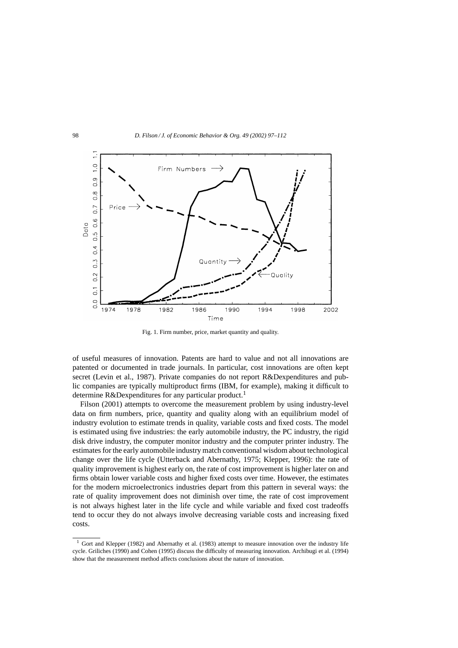

Fig. 1. Firm number, price, market quantity and quality.

of useful measures of innovation. Patents are hard to value and not all innovations are patented or documented in trade journals. In particular, cost innovations are often kept secret (Levin et al., 1987). Private companies do not report R&Dexpenditures and public companies are typically multiproduct firms (IBM, for example), making it difficult to determine R&Dexpenditures for any particular product.<sup>1</sup>

Filson (2001) attempts to overcome the measurement problem by using industry-level data on firm numbers, price, quantity and quality along with an equilibrium model of industry evolution to estimate trends in quality, variable costs and fixed costs. The model is estimated using five industries: the early automobile industry, the PC industry, the rigid disk drive industry, the computer monitor industry and the computer printer industry. The estimates for the early automobile industry match conventional wisdom about technological change over the life cycle (Utterback and Abernathy, 1975; Klepper, 1996): the rate of quality improvement is highest early on, the rate of cost improvement is higher later on and firms obtain lower variable costs and higher fixed costs over time. However, the estimates for the modern microelectronics industries depart from this pattern in several ways: the rate of quality improvement does not diminish over time, the rate of cost improvement is not always highest later in the life cycle and while variable and fixed cost tradeoffs tend to occur they do not always involve decreasing variable costs and increasing fixed costs.

<sup>&</sup>lt;sup>1</sup> Gort and Klepper (1982) and Abernathy et al. (1983) attempt to measure innovation over the industry life cycle. Griliches (1990) and Cohen (1995) discuss the difficulty of measuring innovation. Archibugi et al. (1994) show that the measurement method affects conclusions about the nature of innovation.